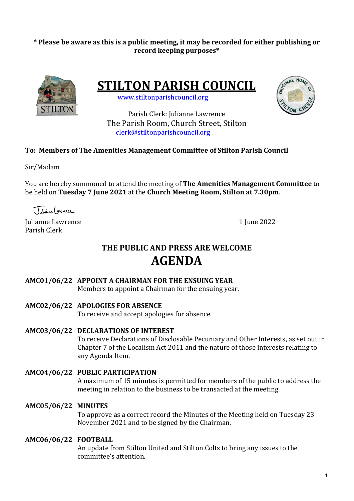## \* Please be aware as this is a public meeting, it may be recorded for either publishing or **record keeping purposes\***



**STILTON PARISH COUNCIL** 

 www.stiltonparishcouncil.org



Parish Clerk: Julianne Lawrence The Parish Room, Church Street, Stilton clerk@stiltonparishcouncil.org

## **To: Members of The Amenities Management Committee of Stilton Parish Council**

Sir/Madam

You are hereby summoned to attend the meeting of **The Amenities Management Committee** to be held on **Tuesday 7 June 2021** at the **Church Meeting Room, Stilton at 7.30pm**.

Tutione ( gwnerce

Iulianne Lawrence 1 Iune 2022 Parish Clerk

# **THE PUBLIC AND PRESS ARE WELCOME AGENDA**

## AMC01/06/22 APPOINT A CHAIRMAN FOR THE ENSUING YEAR

Members to appoint a Chairman for the ensuing year.

## **AMC02/06/22 APOLOGIES FOR ABSENCE**

To receive and accept apologies for absence.

**AMC03/06/22 DECLARATIONS OF INTEREST**

To receive Declarations of Disclosable Pecuniary and Other Interests, as set out in Chapter 7 of the Localism Act 2011 and the nature of those interests relating to any Agenda Item.

- **AMC04/06/22 PUBLIC PARTICIPATION** A maximum of 15 minutes is permitted for members of the public to address the meeting in relation to the business to be transacted at the meeting.
- **AMC05/06/22 MINUTES**

To approve as a correct record the Minutes of the Meeting held on Tuesday 23 November 2021 and to be signed by the Chairman.

## **AMC06/06/22 FOOTBALL**

An update from Stilton United and Stilton Colts to bring any issues to the committee's attention.